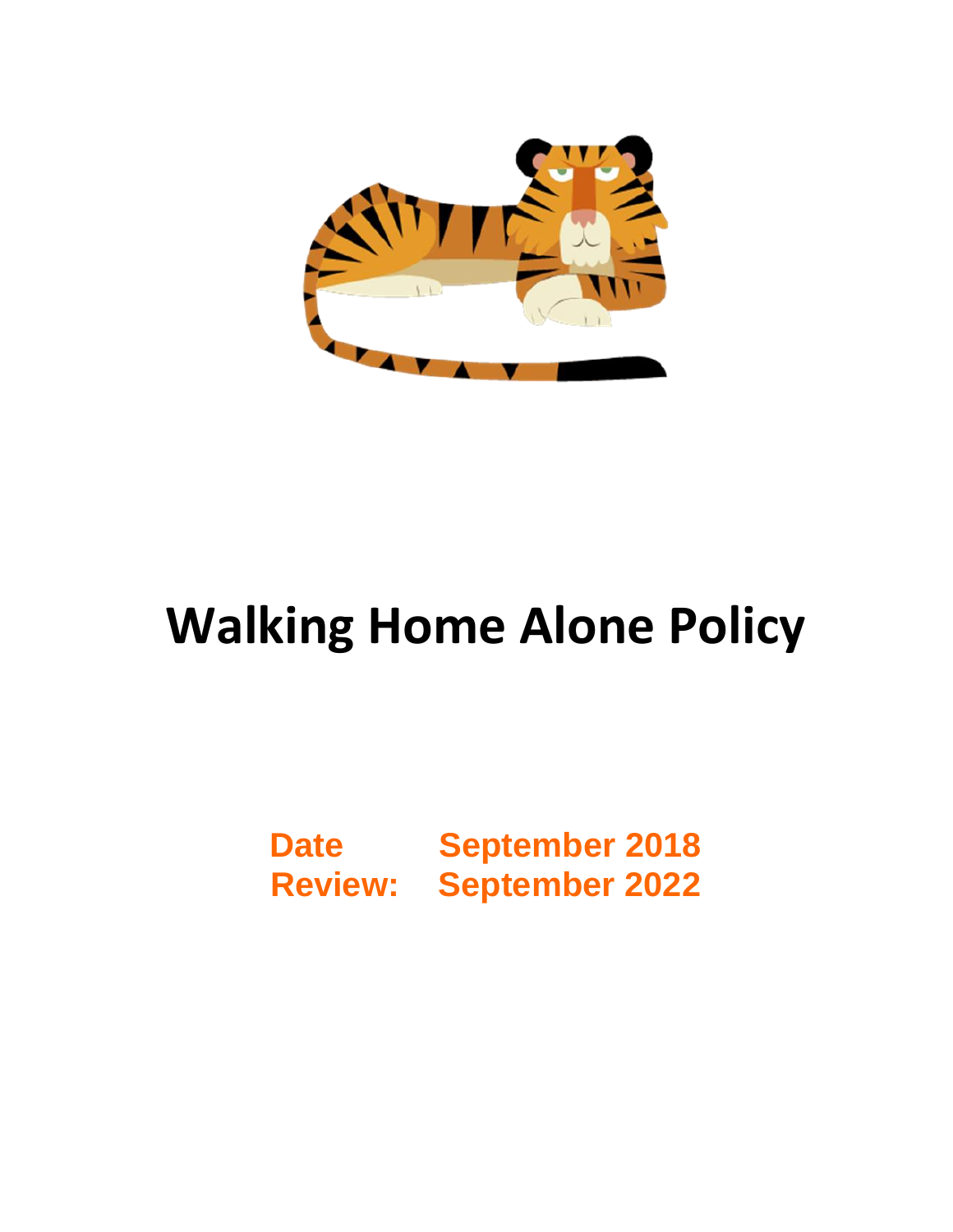

## **Walking Home Alone Policy**

## **Date September 2018 Review: September 2022**